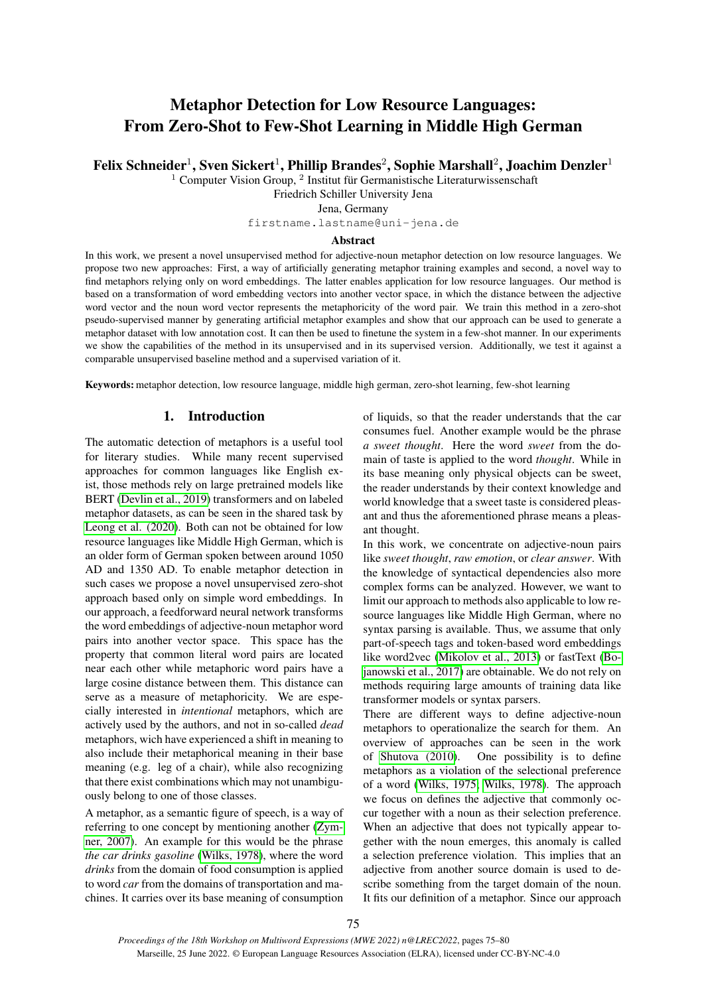# Metaphor Detection for Low Resource Languages: From Zero-Shot to Few-Shot Learning in Middle High German

Felix Schneider $^1$ , Sven Sickert $^1$ , Phillip Brandes $^2$ , Sophie Marshall $^2$ , Joachim Denzler $^1$ 

 $1$  Computer Vision Group,  $2$  Institut für Germanistische Literaturwissenschaft

Friedrich Schiller University Jena

#### Jena, Germany

firstname.lastname@uni-jena.de

#### Abstract

In this work, we present a novel unsupervised method for adjective-noun metaphor detection on low resource languages. We propose two new approaches: First, a way of artificially generating metaphor training examples and second, a novel way to find metaphors relying only on word embeddings. The latter enables application for low resource languages. Our method is based on a transformation of word embedding vectors into another vector space, in which the distance between the adjective word vector and the noun word vector represents the metaphoricity of the word pair. We train this method in a zero-shot pseudo-supervised manner by generating artificial metaphor examples and show that our approach can be used to generate a metaphor dataset with low annotation cost. It can then be used to finetune the system in a few-shot manner. In our experiments we show the capabilities of the method in its unsupervised and in its supervised version. Additionally, we test it against a comparable unsupervised baseline method and a supervised variation of it.

Keywords: metaphor detection, low resource language, middle high german, zero-shot learning, few-shot learning

## 1. Introduction

The automatic detection of metaphors is a useful tool for literary studies. While many recent supervised approaches for common languages like English exist, those methods rely on large pretrained models like BERT [\(Devlin et al., 2019\)](#page-4-0) transformers and on labeled metaphor datasets, as can be seen in the shared task by [Leong et al. \(2020\)](#page-5-0). Both can not be obtained for low resource languages like Middle High German, which is an older form of German spoken between around 1050 AD and 1350 AD. To enable metaphor detection in such cases we propose a novel unsupervised zero-shot approach based only on simple word embeddings. In our approach, a feedforward neural network transforms the word embeddings of adjective-noun metaphor word pairs into another vector space. This space has the property that common literal word pairs are located near each other while metaphoric word pairs have a large cosine distance between them. This distance can serve as a measure of metaphoricity. We are especially interested in *intentional* metaphors, which are actively used by the authors, and not in so-called *dead* metaphors, wich have experienced a shift in meaning to also include their metaphorical meaning in their base meaning (e.g. leg of a chair), while also recognizing that there exist combinations which may not unambiguously belong to one of those classes.

A metaphor, as a semantic figure of speech, is a way of referring to one concept by mentioning another [\(Zym](#page-5-1)[ner, 2007\)](#page-5-1). An example for this would be the phrase *the car drinks gasoline* [\(Wilks, 1978\)](#page-5-2), where the word *drinks* from the domain of food consumption is applied to word *car* from the domains of transportation and machines. It carries over its base meaning of consumption of liquids, so that the reader understands that the car consumes fuel. Another example would be the phrase *a sweet thought*. Here the word *sweet* from the domain of taste is applied to the word *thought*. While in its base meaning only physical objects can be sweet, the reader understands by their context knowledge and world knowledge that a sweet taste is considered pleasant and thus the aforementioned phrase means a pleasant thought.

In this work, we concentrate on adjective-noun pairs like *sweet thought*, *raw emotion*, or *clear answer*. With the knowledge of syntactical dependencies also more complex forms can be analyzed. However, we want to limit our approach to methods also applicable to low resource languages like Middle High German, where no syntax parsing is available. Thus, we assume that only part-of-speech tags and token-based word embeddings like word2vec [\(Mikolov et al., 2013\)](#page-5-3) or fastText [\(Bo](#page-4-1)[janowski et al., 2017\)](#page-4-1) are obtainable. We do not rely on methods requiring large amounts of training data like transformer models or syntax parsers.

There are different ways to define adjective-noun metaphors to operationalize the search for them. An overview of approaches can be seen in the work of [Shutova \(2010\)](#page-5-4). One possibility is to define metaphors as a violation of the selectional preference of a word [\(Wilks, 1975;](#page-5-5) [Wilks, 1978\)](#page-5-2). The approach we focus on defines the adjective that commonly occur together with a noun as their selection preference. When an adjective that does not typically appear together with the noun emerges, this anomaly is called a selection preference violation. This implies that an adjective from another source domain is used to describe something from the target domain of the noun. It fits our definition of a metaphor. Since our approach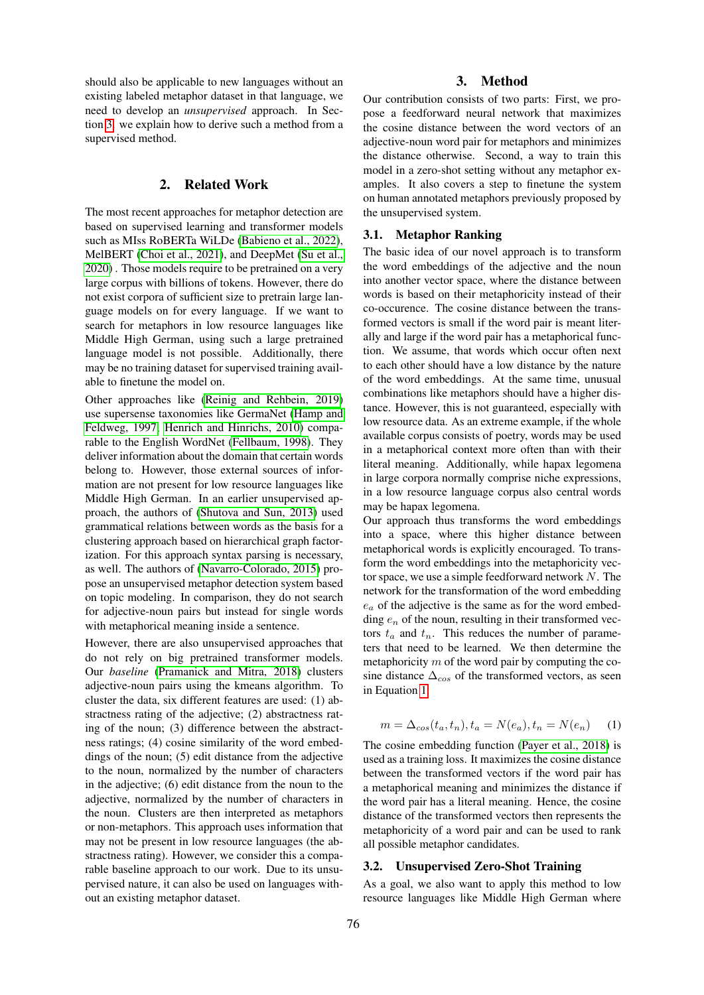should also be applicable to new languages without an existing labeled metaphor dataset in that language, we need to develop an *unsupervised* approach. In Section [3.](#page-1-0) we explain how to derive such a method from a supervised method.

## 2. Related Work

<span id="page-1-2"></span>The most recent approaches for metaphor detection are based on supervised learning and transformer models such as MIss RoBERTa WiLDe [\(Babieno et al., 2022\)](#page-4-2), MelBERT [\(Choi et al., 2021\)](#page-4-3), and DeepMet [\(Su et al.,](#page-5-6) [2020\)](#page-5-6) . Those models require to be pretrained on a very large corpus with billions of tokens. However, there do not exist corpora of sufficient size to pretrain large language models on for every language. If we want to search for metaphors in low resource languages like Middle High German, using such a large pretrained language model is not possible. Additionally, there may be no training dataset for supervised training available to finetune the model on.

Other approaches like [\(Reinig and Rehbein, 2019\)](#page-5-7) use supersense taxonomies like GermaNet [\(Hamp and](#page-4-4) [Feldweg, 1997;](#page-4-4) [Henrich and Hinrichs, 2010\)](#page-5-8) comparable to the English WordNet [\(Fellbaum, 1998\)](#page-4-5). They deliver information about the domain that certain words belong to. However, those external sources of information are not present for low resource languages like Middle High German. In an earlier unsupervised approach, the authors of [\(Shutova and Sun, 2013\)](#page-5-9) used grammatical relations between words as the basis for a clustering approach based on hierarchical graph factorization. For this approach syntax parsing is necessary, as well. The authors of [\(Navarro-Colorado, 2015\)](#page-5-10) propose an unsupervised metaphor detection system based on topic modeling. In comparison, they do not search for adjective-noun pairs but instead for single words with metaphorical meaning inside a sentence.

However, there are also unsupervised approaches that do not rely on big pretrained transformer models. Our *baseline* [\(Pramanick and Mitra, 2018\)](#page-5-11) clusters adjective-noun pairs using the kmeans algorithm. To cluster the data, six different features are used: (1) abstractness rating of the adjective; (2) abstractness rating of the noun; (3) difference between the abstractness ratings; (4) cosine similarity of the word embeddings of the noun; (5) edit distance from the adjective to the noun, normalized by the number of characters in the adjective; (6) edit distance from the noun to the adjective, normalized by the number of characters in the noun. Clusters are then interpreted as metaphors or non-metaphors. This approach uses information that may not be present in low resource languages (the abstractness rating). However, we consider this a comparable baseline approach to our work. Due to its unsupervised nature, it can also be used on languages without an existing metaphor dataset.

## 3. Method

<span id="page-1-0"></span>Our contribution consists of two parts: First, we propose a feedforward neural network that maximizes the cosine distance between the word vectors of an adjective-noun word pair for metaphors and minimizes the distance otherwise. Second, a way to train this model in a zero-shot setting without any metaphor examples. It also covers a step to finetune the system on human annotated metaphors previously proposed by the unsupervised system.

## 3.1. Metaphor Ranking

The basic idea of our novel approach is to transform the word embeddings of the adjective and the noun into another vector space, where the distance between words is based on their metaphoricity instead of their co-occurence. The cosine distance between the transformed vectors is small if the word pair is meant literally and large if the word pair has a metaphorical function. We assume, that words which occur often next to each other should have a low distance by the nature of the word embeddings. At the same time, unusual combinations like metaphors should have a higher distance. However, this is not guaranteed, especially with low resource data. As an extreme example, if the whole available corpus consists of poetry, words may be used in a metaphorical context more often than with their literal meaning. Additionally, while hapax legomena in large corpora normally comprise niche expressions, in a low resource language corpus also central words may be hapax legomena.

Our approach thus transforms the word embeddings into a space, where this higher distance between metaphorical words is explicitly encouraged. To transform the word embeddings into the metaphoricity vector space, we use a simple feedforward network  $N$ . The network for the transformation of the word embedding  $e_a$  of the adjective is the same as for the word embedding  $e_n$  of the noun, resulting in their transformed vectors  $t_a$  and  $t_n$ . This reduces the number of parameters that need to be learned. We then determine the metaphoricity  $m$  of the word pair by computing the cosine distance  $\Delta_{\cos}$  of the transformed vectors, as seen in Equation [1.](#page-1-1)

<span id="page-1-1"></span>
$$
m = \Delta_{\cos}(t_a, t_n), t_a = N(e_a), t_n = N(e_n) \tag{1}
$$

The cosine embedding function [\(Payer et al., 2018\)](#page-5-12) is used as a training loss. It maximizes the cosine distance between the transformed vectors if the word pair has a metaphorical meaning and minimizes the distance if the word pair has a literal meaning. Hence, the cosine distance of the transformed vectors then represents the metaphoricity of a word pair and can be used to rank all possible metaphor candidates.

## 3.2. Unsupervised Zero-Shot Training

As a goal, we also want to apply this method to low resource languages like Middle High German where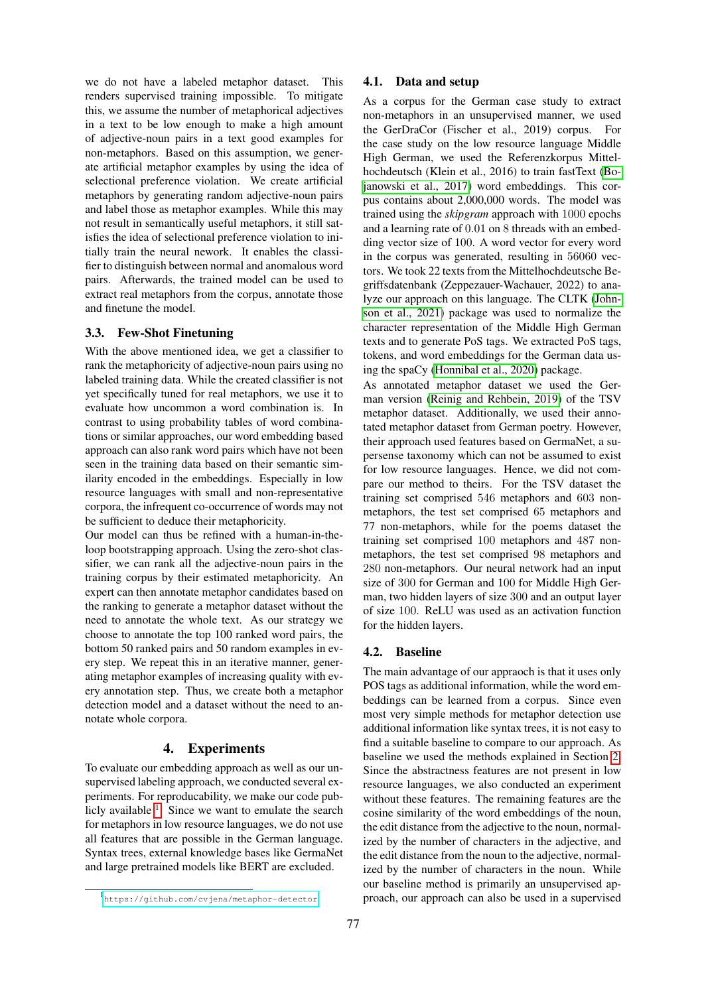we do not have a labeled metaphor dataset. This renders supervised training impossible. To mitigate this, we assume the number of metaphorical adjectives in a text to be low enough to make a high amount of adjective-noun pairs in a text good examples for non-metaphors. Based on this assumption, we generate artificial metaphor examples by using the idea of selectional preference violation. We create artificial metaphors by generating random adjective-noun pairs and label those as metaphor examples. While this may not result in semantically useful metaphors, it still satisfies the idea of selectional preference violation to initially train the neural nework. It enables the classifier to distinguish between normal and anomalous word pairs. Afterwards, the trained model can be used to extract real metaphors from the corpus, annotate those and finetune the model.

# 3.3. Few-Shot Finetuning

With the above mentioned idea, we get a classifier to rank the metaphoricity of adjective-noun pairs using no labeled training data. While the created classifier is not yet specifically tuned for real metaphors, we use it to evaluate how uncommon a word combination is. In contrast to using probability tables of word combinations or similar approaches, our word embedding based approach can also rank word pairs which have not been seen in the training data based on their semantic similarity encoded in the embeddings. Especially in low resource languages with small and non-representative corpora, the infrequent co-occurrence of words may not be sufficient to deduce their metaphoricity.

Our model can thus be refined with a human-in-theloop bootstrapping approach. Using the zero-shot classifier, we can rank all the adjective-noun pairs in the training corpus by their estimated metaphoricity. An expert can then annotate metaphor candidates based on the ranking to generate a metaphor dataset without the need to annotate the whole text. As our strategy we choose to annotate the top 100 ranked word pairs, the bottom 50 ranked pairs and 50 random examples in every step. We repeat this in an iterative manner, generating metaphor examples of increasing quality with every annotation step. Thus, we create both a metaphor detection model and a dataset without the need to annotate whole corpora.

# 4. Experiments

To evaluate our embedding approach as well as our unsupervised labeling approach, we conducted several experiments. For reproducability, we make our code publicly available  $<sup>1</sup>$  $<sup>1</sup>$  $<sup>1</sup>$ . Since we want to emulate the search</sup> for metaphors in low resource languages, we do not use all features that are possible in the German language. Syntax trees, external knowledge bases like GermaNet and large pretrained models like BERT are excluded.

#### 4.1. Data and setup

As a corpus for the German case study to extract non-metaphors in an unsupervised manner, we used the GerDraCor (Fischer et al., 2019) corpus. For the case study on the low resource language Middle High German, we used the Referenzkorpus Mittelhochdeutsch (Klein et al., 2016) to train fastText [\(Bo](#page-4-1)[janowski et al., 2017\)](#page-4-1) word embeddings. This corpus contains about 2,000,000 words. The model was trained using the *skipgram* approach with 1000 epochs and a learning rate of 0.01 on 8 threads with an embedding vector size of 100. A word vector for every word in the corpus was generated, resulting in 56060 vectors. We took 22 texts from the Mittelhochdeutsche Begriffsdatenbank (Zeppezauer-Wachauer, 2022) to analyze our approach on this language. The CLTK [\(John](#page-5-13)[son et al., 2021\)](#page-5-13) package was used to normalize the character representation of the Middle High German texts and to generate PoS tags. We extracted PoS tags, tokens, and word embeddings for the German data using the spaCy [\(Honnibal et al., 2020\)](#page-5-14) package.

As annotated metaphor dataset we used the German version [\(Reinig and Rehbein, 2019\)](#page-5-7) of the TSV metaphor dataset. Additionally, we used their annotated metaphor dataset from German poetry. However, their approach used features based on GermaNet, a supersense taxonomy which can not be assumed to exist for low resource languages. Hence, we did not compare our method to theirs. For the TSV dataset the training set comprised 546 metaphors and 603 nonmetaphors, the test set comprised 65 metaphors and 77 non-metaphors, while for the poems dataset the training set comprised 100 metaphors and 487 nonmetaphors, the test set comprised 98 metaphors and 280 non-metaphors. Our neural network had an input size of 300 for German and 100 for Middle High German, two hidden layers of size 300 and an output layer of size 100. ReLU was used as an activation function for the hidden layers.

## 4.2. Baseline

The main advantage of our appraoch is that it uses only POS tags as additional information, while the word embeddings can be learned from a corpus. Since even most very simple methods for metaphor detection use additional information like syntax trees, it is not easy to find a suitable baseline to compare to our approach. As baseline we used the methods explained in Section [2.](#page-1-2) Since the abstractness features are not present in low resource languages, we also conducted an experiment without these features. The remaining features are the cosine similarity of the word embeddings of the noun, the edit distance from the adjective to the noun, normalized by the number of characters in the adjective, and the edit distance from the noun to the adjective, normalized by the number of characters in the noun. While our baseline method is primarily an unsupervised approach, our approach can also be used in a supervised

<span id="page-2-0"></span><sup>1</sup> <https://github.com/cvjena/metaphor-detector>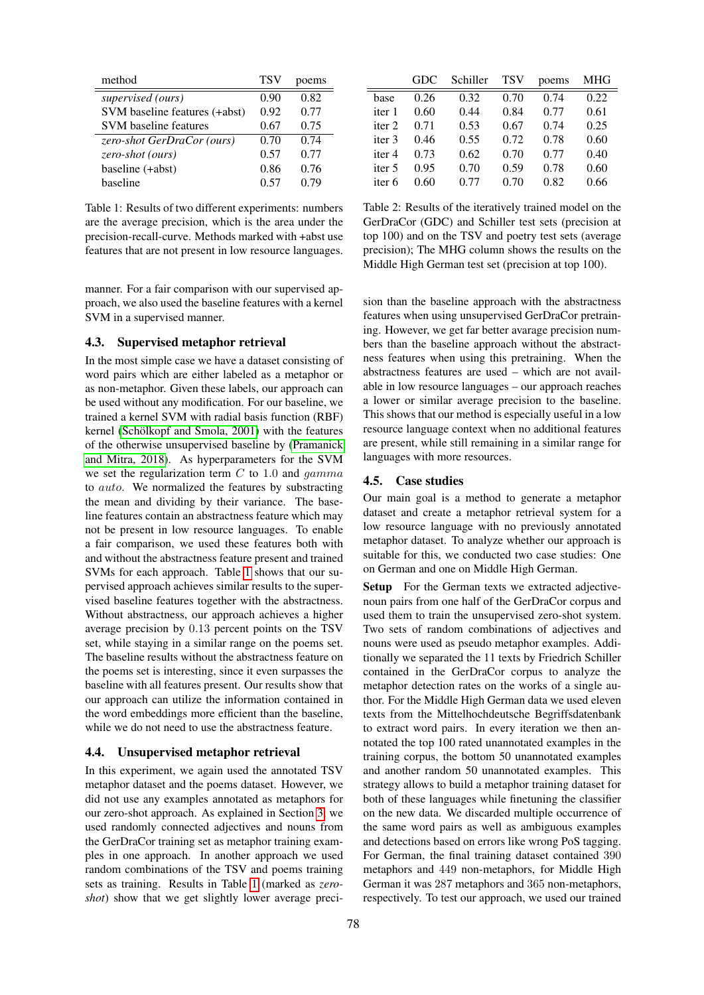| method                        | TSV  | poems |
|-------------------------------|------|-------|
| supervised (ours)             | 0.90 | 0.82  |
| SVM baseline features (+abst) | 0.92 | 0.77  |
| <b>SVM</b> baseline features  | 0.67 | 0.75  |
| zero-shot GerDraCor (ours)    | 0.70 | 0.74  |
| zero-shot (ours)              | 0.57 | 0.77  |
| baseline (+abst)              | 0.86 | 0.76  |
| haseline                      | 0.57 | 0.79  |

<span id="page-3-0"></span>Table 1: Results of two different experiments: numbers are the average precision, which is the area under the precision-recall-curve. Methods marked with +abst use features that are not present in low resource languages.

manner. For a fair comparison with our supervised approach, we also used the baseline features with a kernel SVM in a supervised manner.

## 4.3. Supervised metaphor retrieval

In the most simple case we have a dataset consisting of word pairs which are either labeled as a metaphor or as non-metaphor. Given these labels, our approach can be used without any modification. For our baseline, we trained a kernel SVM with radial basis function (RBF) kernel (Schölkopf and Smola, 2001) with the features of the otherwise unsupervised baseline by [\(Pramanick](#page-5-11) [and Mitra, 2018\)](#page-5-11). As hyperparameters for the SVM we set the regularization term  $C$  to 1.0 and  $qamma$ to auto. We normalized the features by substracting the mean and dividing by their variance. The baseline features contain an abstractness feature which may not be present in low resource languages. To enable a fair comparison, we used these features both with and without the abstractness feature present and trained SVMs for each approach. Table [1](#page-3-0) shows that our supervised approach achieves similar results to the supervised baseline features together with the abstractness. Without abstractness, our approach achieves a higher average precision by 0.13 percent points on the TSV set, while staying in a similar range on the poems set. The baseline results without the abstractness feature on the poems set is interesting, since it even surpasses the baseline with all features present. Our results show that our approach can utilize the information contained in the word embeddings more efficient than the baseline, while we do not need to use the abstractness feature.

#### 4.4. Unsupervised metaphor retrieval

In this experiment, we again used the annotated TSV metaphor dataset and the poems dataset. However, we did not use any examples annotated as metaphors for our zero-shot approach. As explained in Section [3,](#page-1-0) we used randomly connected adjectives and nouns from the GerDraCor training set as metaphor training examples in one approach. In another approach we used random combinations of the TSV and poems training sets as training. Results in Table [1](#page-3-0) (marked as *zeroshot*) show that we get slightly lower average preci-

|                   | GDC  | Schiller | <b>TSV</b> | poems | MHG  |
|-------------------|------|----------|------------|-------|------|
| base              | 0.26 | 0.32     | 0.70       | 0.74  | 0.22 |
| iter 1            | 0.60 | 0.44     | 0.84       | 0.77  | 0.61 |
| iter <sub>2</sub> | 0.71 | 0.53     | 0.67       | 0.74  | 0.25 |
| iter <sub>3</sub> | 0.46 | 0.55     | 0.72       | 0.78  | 0.60 |
| iter 4            | 0.73 | 0.62     | 0.70       | 0.77  | 0.40 |
| iter 5            | 0.95 | 0.70     | 0.59       | 0.78  | 0.60 |
| iter 6            | 0.60 | 0.77     | 0.70       | 0.82  | 0.66 |

<span id="page-3-1"></span>Table 2: Results of the iteratively trained model on the GerDraCor (GDC) and Schiller test sets (precision at top 100) and on the TSV and poetry test sets (average precision); The MHG column shows the results on the Middle High German test set (precision at top 100).

sion than the baseline approach with the abstractness features when using unsupervised GerDraCor pretraining. However, we get far better avarage precision numbers than the baseline approach without the abstractness features when using this pretraining. When the abstractness features are used – which are not available in low resource languages – our approach reaches a lower or similar average precision to the baseline. This shows that our method is especially useful in a low resource language context when no additional features are present, while still remaining in a similar range for languages with more resources.

#### 4.5. Case studies

Our main goal is a method to generate a metaphor dataset and create a metaphor retrieval system for a low resource language with no previously annotated metaphor dataset. To analyze whether our approach is suitable for this, we conducted two case studies: One on German and one on Middle High German.

Setup For the German texts we extracted adjectivenoun pairs from one half of the GerDraCor corpus and used them to train the unsupervised zero-shot system. Two sets of random combinations of adjectives and nouns were used as pseudo metaphor examples. Additionally we separated the 11 texts by Friedrich Schiller contained in the GerDraCor corpus to analyze the metaphor detection rates on the works of a single author. For the Middle High German data we used eleven texts from the Mittelhochdeutsche Begriffsdatenbank to extract word pairs. In every iteration we then annotated the top 100 rated unannotated examples in the training corpus, the bottom 50 unannotated examples and another random 50 unannotated examples. This strategy allows to build a metaphor training dataset for both of these languages while finetuning the classifier on the new data. We discarded multiple occurrence of the same word pairs as well as ambiguous examples and detections based on errors like wrong PoS tagging. For German, the final training dataset contained 390 metaphors and 449 non-metaphors, for Middle High German it was 287 metaphors and 365 non-metaphors, respectively. To test our approach, we used our trained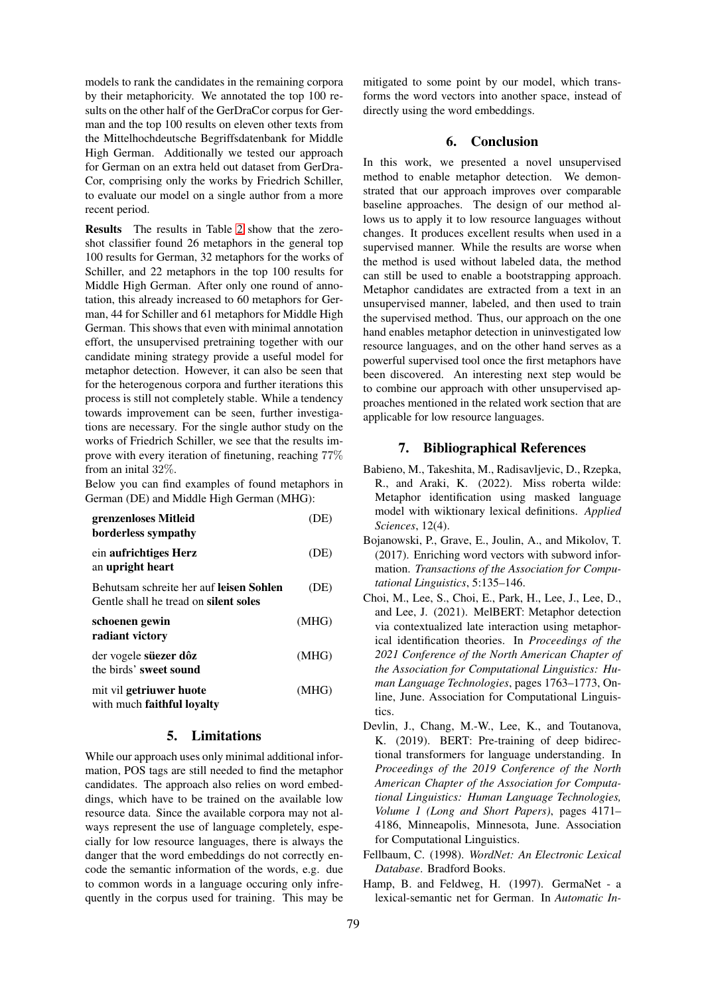models to rank the candidates in the remaining corpora by their metaphoricity. We annotated the top 100 results on the other half of the GerDraCor corpus for German and the top 100 results on eleven other texts from the Mittelhochdeutsche Begriffsdatenbank for Middle High German. Additionally we tested our approach for German on an extra held out dataset from GerDra-Cor, comprising only the works by Friedrich Schiller, to evaluate our model on a single author from a more recent period.

Results The results in Table [2](#page-3-1) show that the zeroshot classifier found 26 metaphors in the general top 100 results for German, 32 metaphors for the works of Schiller, and 22 metaphors in the top 100 results for Middle High German. After only one round of annotation, this already increased to 60 metaphors for German, 44 for Schiller and 61 metaphors for Middle High German. This shows that even with minimal annotation effort, the unsupervised pretraining together with our candidate mining strategy provide a useful model for metaphor detection. However, it can also be seen that for the heterogenous corpora and further iterations this process is still not completely stable. While a tendency towards improvement can be seen, further investigations are necessary. For the single author study on the works of Friedrich Schiller, we see that the results improve with every iteration of finetuning, reaching 77% from an inital 32%.

Below you can find examples of found metaphors in German (DE) and Middle High German (MHG):

| grenzenloses Mitleid<br>borderless sympathy                                             | E)    |
|-----------------------------------------------------------------------------------------|-------|
| ein aufrichtiges Herz<br>an upright heart                                               | (DE)  |
| Behutsam schreite her auf leisen Sohlen<br>Gentle shall he tread on <b>silent soles</b> | (DE)  |
| schoenen gewin<br>radiant victory                                                       | (MHG) |
| der vogele süezer dôz<br>the birds' sweet sound                                         | (MHG) |
| mit vil getriuwer huote<br>with much <b>faithful loyalty</b>                            | (MHG) |

# 5. Limitations

While our approach uses only minimal additional information, POS tags are still needed to find the metaphor candidates. The approach also relies on word embeddings, which have to be trained on the available low resource data. Since the available corpora may not always represent the use of language completely, especially for low resource languages, there is always the danger that the word embeddings do not correctly encode the semantic information of the words, e.g. due to common words in a language occuring only infrequently in the corpus used for training. This may be

mitigated to some point by our model, which transforms the word vectors into another space, instead of directly using the word embeddings.

## 6. Conclusion

In this work, we presented a novel unsupervised method to enable metaphor detection. We demonstrated that our approach improves over comparable baseline approaches. The design of our method allows us to apply it to low resource languages without changes. It produces excellent results when used in a supervised manner. While the results are worse when the method is used without labeled data, the method can still be used to enable a bootstrapping approach. Metaphor candidates are extracted from a text in an unsupervised manner, labeled, and then used to train the supervised method. Thus, our approach on the one hand enables metaphor detection in uninvestigated low resource languages, and on the other hand serves as a powerful supervised tool once the first metaphors have been discovered. An interesting next step would be to combine our approach with other unsupervised approaches mentioned in the related work section that are applicable for low resource languages.

# 7. Bibliographical References

- <span id="page-4-2"></span>Babieno, M., Takeshita, M., Radisavljevic, D., Rzepka, R., and Araki, K. (2022). Miss roberta wilde: Metaphor identification using masked language model with wiktionary lexical definitions. *Applied Sciences*, 12(4).
- <span id="page-4-1"></span>Bojanowski, P., Grave, E., Joulin, A., and Mikolov, T. (2017). Enriching word vectors with subword information. *Transactions of the Association for Computational Linguistics*, 5:135–146.
- <span id="page-4-3"></span>Choi, M., Lee, S., Choi, E., Park, H., Lee, J., Lee, D., and Lee, J. (2021). MelBERT: Metaphor detection via contextualized late interaction using metaphorical identification theories. In *Proceedings of the 2021 Conference of the North American Chapter of the Association for Computational Linguistics: Human Language Technologies*, pages 1763–1773, Online, June. Association for Computational Linguistics.
- <span id="page-4-0"></span>Devlin, J., Chang, M.-W., Lee, K., and Toutanova, K. (2019). BERT: Pre-training of deep bidirectional transformers for language understanding. In *Proceedings of the 2019 Conference of the North American Chapter of the Association for Computational Linguistics: Human Language Technologies, Volume 1 (Long and Short Papers)*, pages 4171– 4186, Minneapolis, Minnesota, June. Association for Computational Linguistics.
- <span id="page-4-5"></span>Fellbaum, C. (1998). *WordNet: An Electronic Lexical Database*. Bradford Books.
- <span id="page-4-4"></span>Hamp, B. and Feldweg, H. (1997). GermaNet - a lexical-semantic net for German. In *Automatic In-*